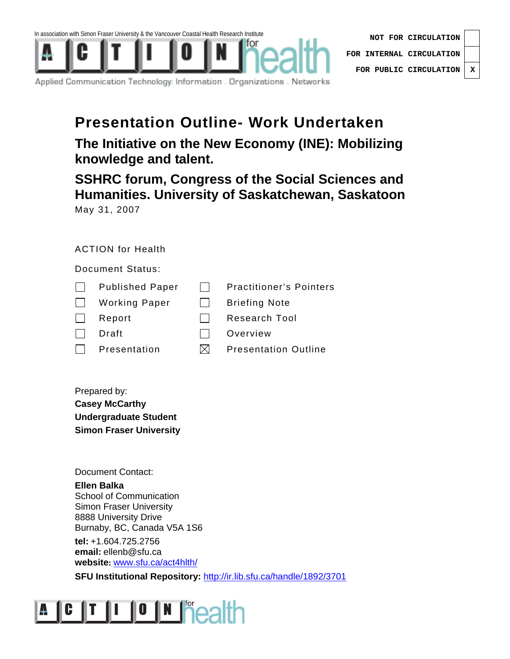

**Presentation Outline- Work Undertaken** 

**The Initiative on the New Economy (INE): Mobilizing knowledge and talent.** 

**SSHRC forum, Congress of the Social Sciences and Humanities. University of Saskatchewan, Saskatoon**  May 31, 2007

## ACTION for Health

Document Status:

|              | <b>Published Paper</b> | <b>Practitioner's Pointers</b> |
|--------------|------------------------|--------------------------------|
| $\perp$      | <b>Working Paper</b>   | <b>Briefing Note</b>           |
| $\mathbf{I}$ | Report                 | Research Tool                  |
|              | Draft                  | Overview                       |
|              | Presentation           | <b>Presentation Outline</b>    |

Prepared by: **Casey McCarthy Undergraduate Student Simon Fraser University** 

Document Contact:

**Ellen Balka**  School of Communication Simon Fraser University 8888 University Drive Burnaby, BC, Canada V5A 1S6

**tel:** +1.604.725.2756 **email:** ellenb@sfu.ca **website:** www.sfu.ca/act4hlth/

**SFU Institutional Repository: http://ir.lib.sfu.ca/handle/1892/3701** 

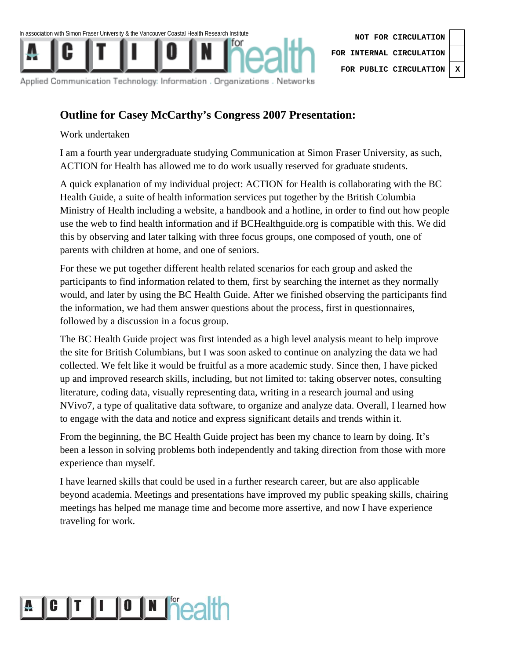

**NOT FOR CIRCULATION FOR INTERNAL CIRCULATION FOR PUBLIC CIRCULATION X**



## **Outline for Casey McCarthy's Congress 2007 Presentation:**

Work undertaken

I am a fourth year undergraduate studying Communication at Simon Fraser University, as such, ACTION for Health has allowed me to do work usually reserved for graduate students.

A quick explanation of my individual project: ACTION for Health is collaborating with the BC Health Guide, a suite of health information services put together by the British Columbia Ministry of Health including a website, a handbook and a hotline, in order to find out how people use the web to find health information and if BCHealthguide.org is compatible with this. We did this by observing and later talking with three focus groups, one composed of youth, one of parents with children at home, and one of seniors.

For these we put together different health related scenarios for each group and asked the participants to find information related to them, first by searching the internet as they normally would, and later by using the BC Health Guide. After we finished observing the participants find the information, we had them answer questions about the process, first in questionnaires, followed by a discussion in a focus group.

The BC Health Guide project was first intended as a high level analysis meant to help improve the site for British Columbians, but I was soon asked to continue on analyzing the data we had collected. We felt like it would be fruitful as a more academic study. Since then, I have picked up and improved research skills, including, but not limited to: taking observer notes, consulting literature, coding data, visually representing data, writing in a research journal and using NVivo7, a type of qualitative data software, to organize and analyze data. Overall, I learned how to engage with the data and notice and express significant details and trends within it.

From the beginning, the BC Health Guide project has been my chance to learn by doing. It's been a lesson in solving problems both independently and taking direction from those with more experience than myself.

I have learned skills that could be used in a further research career, but are also applicable beyond academia. Meetings and presentations have improved my public speaking skills, chairing meetings has helped me manage time and become more assertive, and now I have experience traveling for work.